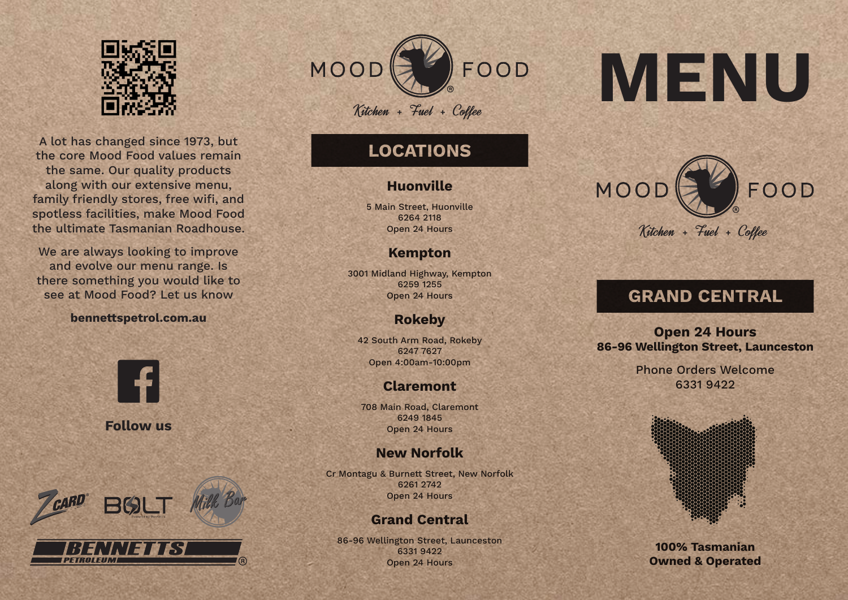

A lot has changed since 1973, but the core Mood Food values remain the same. Our quality products along with our extensive menu, family friendly stores, free wifi, and spotless facilities, make Mood Food the ultimate Tasmanian Roadhouse.

We are always looking to improve and evolve our menu range. Is there something you would like to see at Mood Food? Let us know

### **bennettspetrol.com.au**



**Follow us**



PETROLEUM



# **LOCATIONS**

# **Huonville**

5 Main Street, Huonville 6264 2118 Open 24 Hours

# **Kempton**

3001 Midland Highway, Kempton 6259 1255 Open 24 Hours

# **Rokeby**

42 South Arm Road, Rokeby 6247 7627 Open 4:00am-10:00pm

# **Claremont**

708 Main Road, Claremont 6249 1845 Open 24 Hours

# **New Norfolk**

Cr Montagu & Burnett Street, New Norfolk 6261 2742 Open 24 Hours

# **Grand Central**

86-96 Wellington Street, Launceston 6331 9422 Open 24 Hours

# **MENU**



# **GRAND CENTRAL**

**Open 24 Hours 86-96 Wellington Street, Launceston**

> Phone Orders Welcome 6331 9422



**100% Tasmanian Owned & Operated**